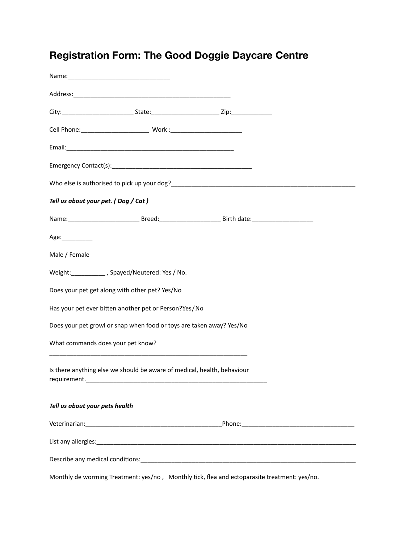## **Registration Form: The Good Doggie Daycare Centre**

| Tell us about your pet. (Dog / Cat) |                                                                                                                       |                                                                                                           |  |
|-------------------------------------|-----------------------------------------------------------------------------------------------------------------------|-----------------------------------------------------------------------------------------------------------|--|
|                                     |                                                                                                                       | Name: ________________________________Breed:____________________________Birth date:______________________ |  |
| Age:___________                     |                                                                                                                       |                                                                                                           |  |
| Male / Female                       |                                                                                                                       |                                                                                                           |  |
|                                     | Weight: _________, Spayed/Neutered: Yes / No.                                                                         |                                                                                                           |  |
|                                     | Does your pet get along with other pet? Yes/No                                                                        |                                                                                                           |  |
|                                     | Has your pet ever bitten another pet or Person?Yes/No                                                                 |                                                                                                           |  |
|                                     | Does your pet growl or snap when food or toys are taken away? Yes/No                                                  |                                                                                                           |  |
| What commands does your pet know?   | <u> 1989 - Johann Stoff, deutscher Stoff, der Stoff, der Stoff, der Stoff, der Stoff, der Stoff, der Stoff, der S</u> |                                                                                                           |  |
| requirement.__                      | Is there anything else we should be aware of medical, health, behaviour                                               |                                                                                                           |  |
| Tell us about your pets health      |                                                                                                                       |                                                                                                           |  |
|                                     |                                                                                                                       |                                                                                                           |  |
|                                     |                                                                                                                       |                                                                                                           |  |
|                                     |                                                                                                                       |                                                                                                           |  |

Monthly de worming Treatment: yes/no, Monthly tick, flea and ectoparasite treatment: yes/no.